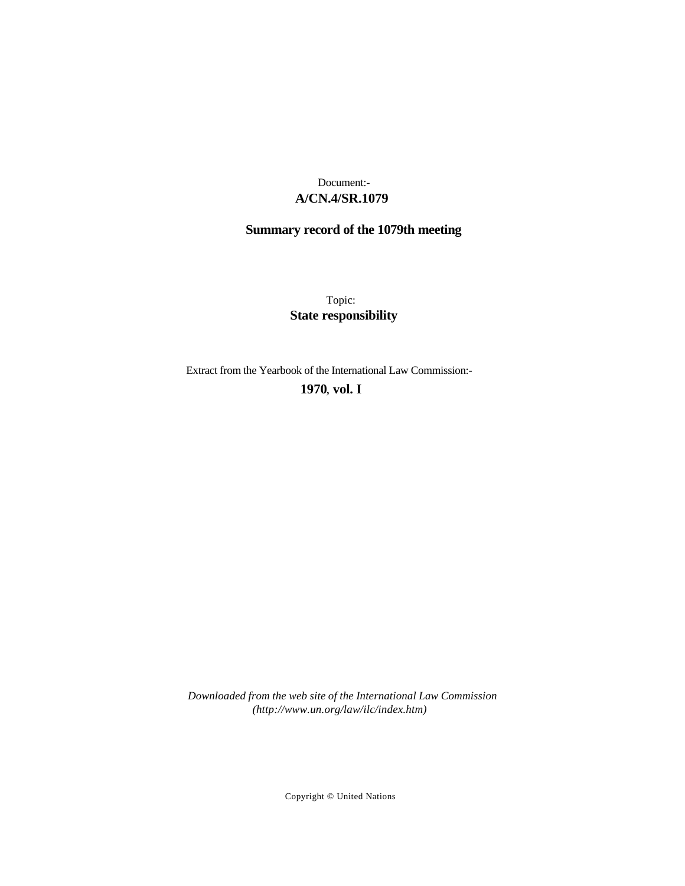## **A/CN.4/SR.1079** Document:-

# **Summary record of the 1079th meeting**

Topic: **State responsibility**

Extract from the Yearbook of the International Law Commission:-

### **1970** , **vol. I**

*Downloaded from the web site of the International Law Commission (http://www.un.org/law/ilc/index.htm)*

Copyright © United Nations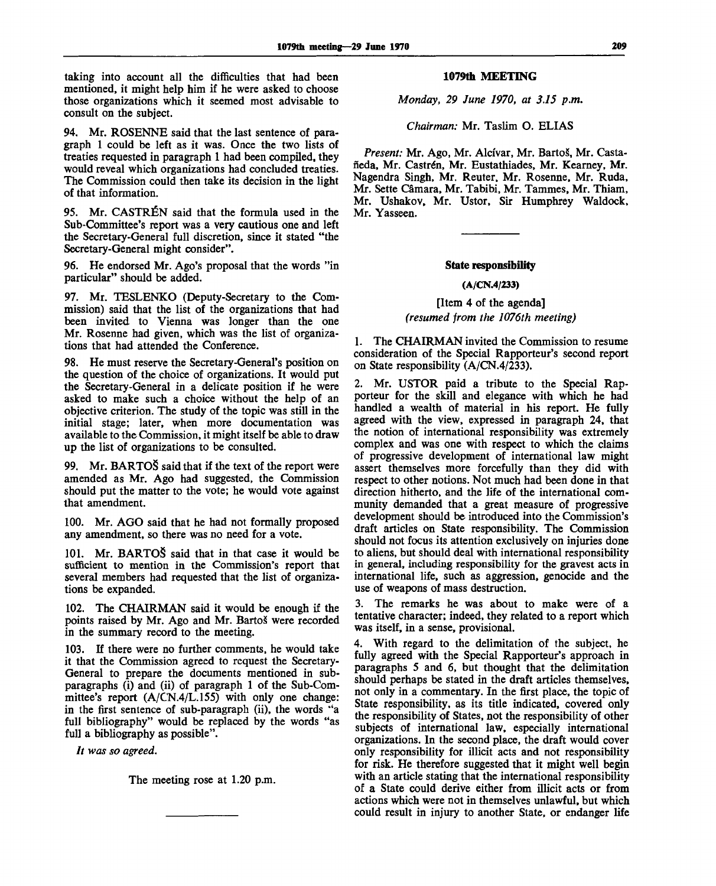taking into account all the difficulties that had been mentioned, it might help him if he were asked to choose those organizations which it seemed most advisable to consult on the subject.

94. Mr. ROSENNE said that the last sentence of paragraph 1 could be left as it was. Once the two lists of treaties requested in paragraph 1 had been compiled, they would reveal which organizations had concluded treaties. The Commission could then take its decision in the light of that information.

95. Mr. CASTRÉN said that the formula used in the Sub-Committee's report was a very cautious one and left the Secretary-General full discretion, since it stated "the Secretary-General might consider".

96. He endorsed Mr. Ago's proposal that the words "in particular" should be added.

97. Mr. TESLENKO (Deputy-Secretary to the Commission) said that the list of the organizations that had been invited to Vienna was longer than the one Mr. Rosenne had given, which was the list of organizations that had attended the Conference.

98. He must reserve the Secretary-General's position on the question of the choice of organizations. It would put the Secretary-General in a delicate position if he were asked to make such a choice without the help of an objective criterion. The study of the topic was still in the initial stage; later, when more documentation was available to the Commission, it might itself be able to draw up the list of organizations to be consulted.

99. Mr. BARTOS said that if the text of the report were amended as Mr. Ago had suggested, the Commission should put the matter to the vote; he would vote against that amendment.

100. Mr. AGO said that he had not formally proposed any amendment, so there was no need for a vote.

101. Mr. BARTOS said that in that case it would be sufficient to mention in the Commission's report that several members had requested that the list of organizations be expanded.

102. The CHAIRMAN said it would be enough if the points raised by Mr. Ago and Mr. BartoS were recorded in the summary record to the meeting.

103. If there were no further comments, he would take it that the Commission agreed to request the Secretary-General to prepare the documents mentioned in subparagraphs (i) and (ii) of paragraph 1 of the Sub-Committee's report (A/CN.4/L.155) with only one change: in the first sentence of sub-paragraph (ii), the words "a full bibliography" would be replaced by the words "as full a bibliography as possible".

*It was so agreed.*

The meeting rose at 1.20 p.m.

#### **1079th MEETING**

*Monday, 29 June 1970, at 3.15 p.m.*

*Chairman:* Mr. Taslim O. ELIAS

*Present:* Mr. Ago, Mr. Alcfvar, Mr. BartoS, Mr. Castañeda, Mr. Castrén, Mr. Eustathiades, Mr. Kearney, Mr. Nagendra Singh, Mr. Reuter, Mr. Rosenne, Mr. Ruda, Mr. Sette Camara, Mr. Tabibi, Mr. Tammes, Mr. Thiam, Mr. Ushakov, Mr. Ustor, Sir Humphrey Waldock, Mr. Yasseen.

#### **State responsibility**

#### **(A/CN.4/233)**

[Item 4 of the agenda] *(resumed from the 1076th meeting)*

1. The CHAIRMAN invited the Commission to resume consideration of the Special Rapporteur's second report on State responsibility (A/CN.4/233).

2. Mr. USTOR paid a tribute to the Special Rapporteur for the skill and elegance with which he had handled a wealth of material in his report. He fully agreed with the view, expressed in paragraph 24, that the notion of international responsibility was extremely complex and was one with respect to which the claims of progressive development of international law might assert themselves more forcefully than they did with respect to other notions. Not much had been done in that direction hitherto, and the life of the international community demanded that a great measure of progressive development should be introduced into the Commission's draft articles on State responsibility. The Commission should not focus its attention exclusively on injuries done to aliens, but should deal with international responsibility in general, including responsibility for the gravest acts in international life, such as aggression, genocide and the use of weapons of mass destruction.

3. The remarks he was about to make were of a tentative character; indeed, they related to a report which was itself, in a sense, provisional.

4. With regard to the delimitation of the subject, he fully agreed with the Special Rapporteur's approach in paragraphs 5 and 6, but thought that the delimitation should perhaps be stated in the draft articles themselves, not only in a commentary. In the first place, the topic of State responsibility, as its title indicated, covered only the responsibility of States, not the responsibility of other subjects of international law, especially international organizations. In the second place, the draft would cover only responsibility for illicit acts and not responsibility for risk. He therefore suggested that it might well begin with an article stating that the international responsibility of a State could derive either from illicit acts or from actions which were not in themselves unlawful, but which could result in injury to another State, or endanger life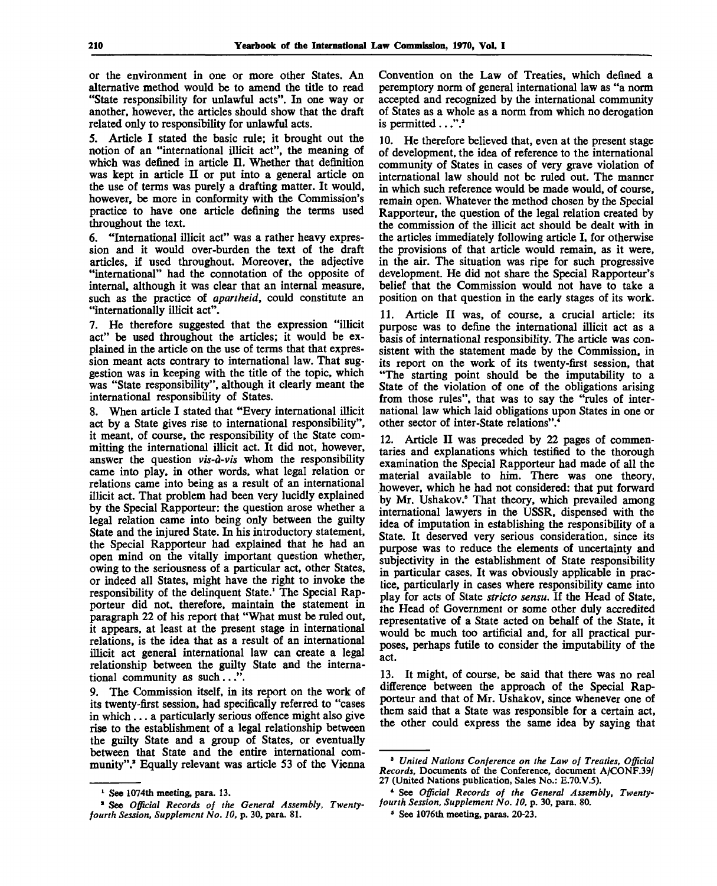or the environment in one or more other States. An alternative method would be to amend the title to read "State responsibility for unlawful acts". In one way or another, however, the articles should show that the draft related only to responsibility for unlawful acts.

5. Article I stated the basic rule; it brought out the notion of an "international illicit act", the meaning of which was defined in article II. Whether that definition was kept in article II or put into a general article on the use of terms was purely a drafting matter. It would, however, be more in conformity with the Commission's practice to have one article defining the terms used throughout the text.

6. "International illicit act" was a rather heavy expression and it would over-burden the text of the draft articles, if used throughout. Moreover, the adjective "international" had the connotation of the opposite of internal, although it was clear that an internal measure, such as the practice of *apartheid,* could constitute an "internationally illicit act".

7. He therefore suggested that the expression "illicit act" be used throughout the articles; it would be explained in the article on the use of terms that that expression meant acts contrary to international law. That suggestion was in keeping with the title of the topic, which was "State responsibility", although it clearly meant the international responsibility of States.

8. When article I stated that "Every international illicit act by a State gives rise to international responsibility", it meant, of course, the responsibility of the State committing the international illicit act. It did not, however, answer the question *vis-a-vis* whom the responsibility came into play, in other words, what legal relation or relations came into being as a result of an international illicit act. That problem had been very lucidly explained by the Special Rapporteur: the question arose whether a legal relation came into being only between the guilty State and the injured State. In his introductory statement, the Special Rapporteur had explained that he had an open mind on the vitally important question whether, owing to the seriousness of a particular act, other States, or indeed all States, might have the right to invoke the responsibility of the delinquent State.<sup>1</sup> The Special Rapporteur did not, therefore, maintain the statement in paragraph 22 of his report that "What must be ruled out, it appears, at least at the present stage in international relations, is the idea that as a result of an international illicit act general international law can create a legal relationship between the guilty State and the international community as such...".

9. The Commission itself, in its report on the work of its twenty-first session, had specifically referred to "cases in which... a particularly serious offence might also give rise to the establishment of a legal relationship between the guilty State and a group of States, or eventually between that State and the entire international community".<sup>2</sup> Equally relevant was article 53 of the Vienna

Convention on the Law of Treaties, which defined a peremptory norm of general international law as "a norm accepted and recognized by the international community of States as a whole as a norm from which no derogation is permitted  $\dots$ ".

10. He therefore believed that, even at the present stage of development, the idea of reference to the international community of States in cases of very grave violation of international law should not be ruled out. The manner in which such reference would be made would, of course, remain open. Whatever the method chosen by the Special Rapporteur, the question of the legal relation created by the commission of the illicit act should be dealt with in the articles immediately following article I, for otherwise the provisions of that article would remain, as it were, in the air. The situation was ripe for such progressive development. He did not share the Special Rapporteur's belief that the Commission would not have to take a position on that question in the early stages of its work.

11. Article II was, of course, a crucial article: its purpose was to define the international illicit act as a basis of international responsibility. The article was consistent with the statement made by the Commission, in its report on the work of its twenty-first session, that "The starting point should be the imputability to a State of the violation of one of the obligations arising from those rules", that was to say the "rules of international law which laid obligations upon States in one or other sector of inter-State relations".<sup>4</sup>

12. Article II was preceded by 22 pages of commentaries and explanations which testified to the thorough examination the Special Rapporteur had made of all the material available to him. There was one theory, however, which he had not considered: that put forward by Mr. Ushakov.<sup>5</sup> That theory, which prevailed among international lawyers in the USSR, dispensed with the idea of imputation in establishing the responsibility of a State. It deserved very serious consideration, since its purpose was to reduce the elements of uncertainty and subjectivity in the establishment of State responsibility in particular cases. It was obviously applicable in practice, particularly in cases where responsibility came into play for acts of State *stricto sensu.* If the Head of State, the Head of Government or some other duly accredited representative of a State acted on behalf of the State, it would be much too artificial and, for all practical purposes, perhaps futile to consider the imputability of the act.

13. It might, of course, be said that there was no real difference between the approach of the Special Rapporteur and that of Mr. Ushakov, since whenever one of them said that a State was responsible for a certain act, the other could express the same idea by saying that

<sup>&</sup>lt;sup>1</sup> See 1074th meeting, para. 13.

<sup>&</sup>lt;sup>2</sup> See Official Records of the General Assembly, Twenty*fourth Session, Supplement No. 10,* p. 30, para. 81.

<sup>8</sup>  *United Nations Conference on the Law of Treaties, Official Records,* Documents of the Conference, document A/CONF.39/ 27 (United Nations publication, Sales No.: E.70.V.5).

<sup>\*</sup> See *Official Records of the General Assembly, Twentyfourth Session, Supplement No. 10,* p. 30, para. 80.

<sup>8</sup> See 1076th meeting, paras. 20-23.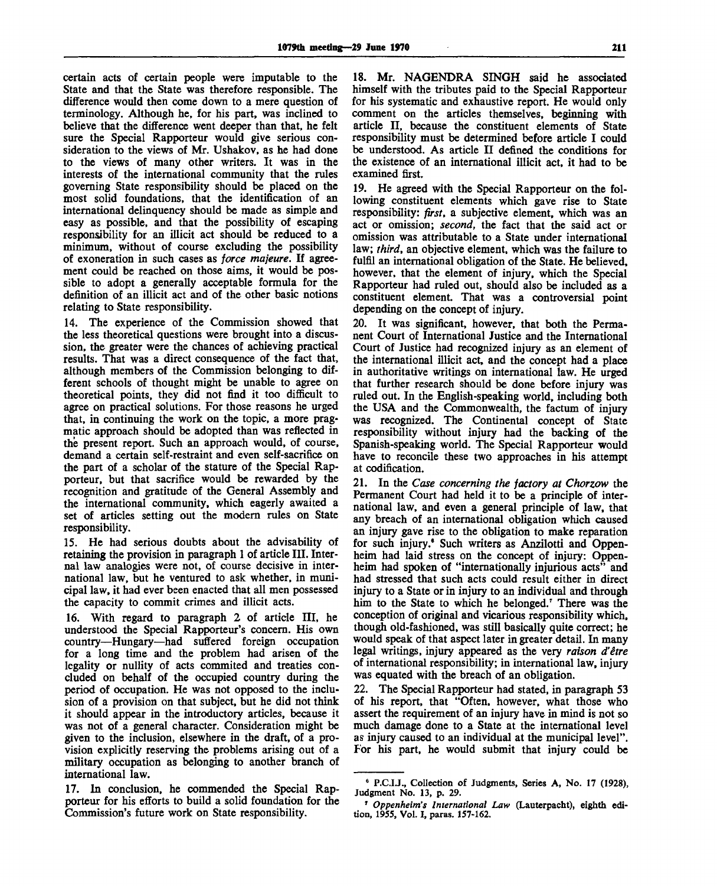certain acts of certain people were imputable to the State and that the State was therefore responsible. The difference would then come down to a mere question of terminology. Although he, for his part, was inclined to believe that the difference went deeper than that, he felt sure the Special Rapporteur would give serious consideration to the views of Mr. Ushakov, as he had done to the views of many other writers. It was in the interests of the international community that the rules governing State responsibility should be placed on the most solid foundations, that the identification of an international delinquency should be made as simple and easy as possible, and that the possibility of escaping responsibility for an illicit act should be reduced to a minimum, without of course excluding the possibility of exoneration in such cases as *force majeure.* If agreement could be reached on those aims, it would be possible to adopt a generally acceptable formula for the definition of an illicit act and of the other basic notions relating to State responsibility.

14. The experience of the Commission showed that the less theoretical questions were brought into a discussion, the greater were the chances of achieving practical results. That was a direct consequence of the fact that, although members of the Commission belonging to different schools of thought might be unable to agree on theoretical points, they did not find it too difficult to agree on practical solutions. For those reasons he urged that, in continuing the work on the topic, a more pragmatic approach should be adopted than was reflected in the present report. Such an approach would, of course, demand a certain self-restraint and even self-sacrifice on the part of a scholar of the stature of the Special Rapporteur, but that sacrifice would be rewarded by the recognition and gratitude of the General Assembly and the international community, which eagerly awaited a set of articles setting out the modern rules on State responsibility.

15. He had serious doubts about the advisability of retaining the provision in paragraph 1 of article III. Internal law analogies were not, of course decisive in international law, but he ventured to ask whether, in municipal law, it had ever been enacted that all men possessed the capacity to commit crimes and illicit acts.

16. With regard to paragraph 2 of article III, he understood the Special Rapporteur's concern. His own country—Hungary—had suffered foreign occupation for a long time and the problem had arisen of the legality or nullity of acts commited and treaties concluded on behalf of the occupied country during the period of occupation. He was not opposed to the inclusion of a provision on that subject, but he did not think it should appear in the introductory articles, because it was not of a general character. Consideration might be given to the inclusion, elsewhere in the draft, of a provision explicitly reserving the problems arising out of a military occupation as belonging to another branch of international law.

17. In conclusion, he commended the Special Rapporteur for his efforts to build a solid foundation for the Commission's future work on State responsibility.

18. Mr. NAGENDRA SINGH said he associated himself with the tributes paid to the Special Rapporteur for his systematic and exhaustive report. He would only comment on the articles themselves, beginning with article II, because the constituent elements of State responsibility must be determined before article I could be understood. As article II defined the conditions for the existence of an international illicit act, it had to be examined first.

19. He agreed with the Special Rapporteur on the following constituent elements which gave rise to State responsibility: *first,* a subjective element, which was an act or omission; *second,* the fact that the said act or omission was attributable to a State under international law; *third,* an objective element, which was the failure to fulfil an international obligation of the State. He believed, however, that the element of injury, which the Special Rapporteur had ruled out, should also be included as a constituent element. That was a controversial point depending on the concept of injury.

20. It was significant, however, that both the Permanent Court of International Justice and the International Court of Justice had recognized injury as an element of the international illicit act, and the concept had a place in authoritative writings on international law. He urged that further research should be done before injury was ruled out. In the English-speaking world, including both the USA and the Commonwealth, the factum of injury was recognized. The Continental concept of State responsibility without injury had the backing of the Spanish-speaking world. The Special Rapporteur would have to reconcile these two approaches in his attempt at codification.

21. In the *Case concerning the factory at Chorzow* the Permanent Court had held it to be a principle of international law, and even a general principle of law, that any breach of an international obligation which caused an injury gave rise to the obligation to make reparation for such injury." Such writers as Anzilotti and Oppenheim had laid stress on the concept of injury: Oppenheim had spoken of "internationally injurious acts" and had stressed that such acts could result either in direct injury to a State or in injury to an individual and through him to the State to which he belonged.<sup>7</sup> There was the conception of original and vicarious responsibility which, though old-fashioned, was still basically quite correct; he would speak of that aspect later in greater detail. In many legal writings, injury appeared as the very *raison d'etre* of international responsibility; in international law, injury was equated with the breach of an obligation.

22. The Special Rapporteur had stated, in paragraph 53 of his report, that "Often, however, what those who assert the requirement of an injury have in mind is not so much damage done to a State at the international level as injury caused to an individual at the municipal level". For his part, he would submit that injury could be

<sup>&</sup>lt;sup>6</sup> P.C.I.J., Collection of Judgments, Series A, No. 17 (1928), Judgment No. 13, p. 29.

<sup>7</sup>  *Oppenheim's International Law* (Lauterpacht), eighth edition, 1955, Vol. I, paras. 157-162.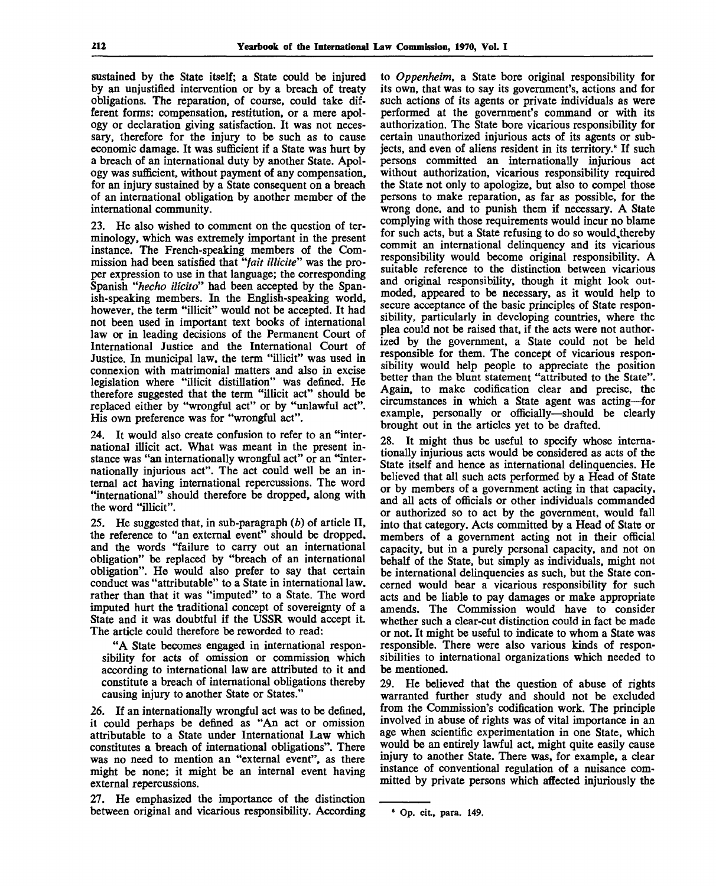sustained by the State itself; a State could be injured by an unjustified intervention or by a breach of treaty obligations. The reparation, of course, could take different forms: compensation, restitution, or a mere apology or declaration giving satisfaction. It was not necessary, therefore for the injury to be such as to cause economic damage. It was sufficient if a State was hurt by a breach of an international duty by another State. Apology was sufficient, without payment of any compensation, for an injury sustained by a State consequent on a breach of an international obligation by another member of the international community.

23. He also wished to comment on the question of terminology, which was extremely important in the present instance. The French-speaking members of the Commission had been satisfied that *"fait illicite"* was the proper expression to use in that language; the corresponding Spanish *"hecho ilicito"* had been accepted by the Spanish-speaking members. In the English-speaking world, however, the term "illicit" would not be accepted. It had not been used in important text books of international law or in leading decisions of the Permanent Court of International Justice and the International Court of Justice. In municipal law, the term "illicit" was used in connexion with matrimonial matters and also in excise legislation where "illicit distillation" was defined. He therefore suggested that the term "illicit act" should be replaced either by "wrongful act" or by "unlawful act". His own preference was for "wrongful act".

24. It would also create confusion to refer to an "international illicit act. What was meant in the present instance was "an internationally wrongful act" or an "internationally injurious act". The act could well be an internal act having international repercussions. The word "international" should therefore be dropped, along with the word "illicit".

25. He suggested that, in sub-paragraph *(b)* of article II, the reference to "an external event" should be dropped, and the words "failure to carry out an international obligation" be replaced by "breach of an international obligation". He would also prefer to say that certain conduct was "attributable" to a State in international law, rather than that it was "imputed" to a State. The word imputed hurt the traditional concept of sovereignty of a State and it was doubtful if the USSR would accept it. The article could therefore be reworded to read:

"A State becomes engaged in international responsibility for acts of omission or commission which according to international law are attributed to it and constitute a breach of international obligations thereby causing injury to another State or States."

26. If an internationally wrongful act was to be defined, it could perhaps be defined as "An act or omission attributable to a State under International Law which constitutes a breach of international obligations". There was no need to mention an "external event", as there might be none; it might be an internal event having external repercussions.

27. He emphasized the importance of the distinction between original and vicarious responsibility. According to *Oppenheim,* a State bore original responsibility for its own, that was to say its government's, actions and for such actions of its agents or private individuals as were performed at the government's command or with its authorization. The State bore vicarious responsibility for certain unauthorized injurious acts of its agents or subjects, and even of aliens resident in its territory.<sup>8</sup> If such persons committed an internationally injurious act without authorization, vicarious responsibility required the State not only to apologize, but also to compel those persons to make reparation, as far as possible, for the wrong done, and to punish them if necessary. A State complying with those requirements would incur no blame for such acts, but a State refusing to do so would,thereby commit an international delinquency and its vicarious responsibility would become original responsibility. A suitable reference to the distinction between vicarious and original responsibility, though it might look outmoded, appeared to be necessary, as it would help to secure acceptance of the basic principles of State responsibility, particularly in developing countries, where the plea could not be raised that, if the acts were not authorized by the government, a State could not be held responsible for them. The concept of vicarious responsibility would help people to appreciate the position better than the blunt statement "attributed to the State". Again, to make codification clear and precise, the circumstances in which a State agent was acting—for example, personally or officially—should be clearly brought out in the articles yet to be drafted.

28. It might thus be useful to specify whose internationally injurious acts would be considered as acts of the State itself and hence as international delinquencies. He believed that all such acts performed by a Head of State or by members of a government acting in that capacity, and all acts of officials or other individuals commanded or authorized so to act by the government, would fall into that category. Acts committed by a Head of State or members of a government acting not in their official capacity, but in a purely personal capacity, and not on behalf of the State, but simply as individuals, might not be international delinquencies as such, but the State concerned would bear a vicarious responsibility for such acts and be liable to pay damages or make appropriate amends. The Commission would have to consider whether such a clear-cut distinction could in fact be made or not. It might be useful to indicate to whom a State was responsible. There were also various kinds of responsibilities to international organizations which needed to be mentioned.

29. He believed that the question of abuse of rights warranted further study and should not be excluded from the Commission's codification work. The principle involved in abuse of rights was of vital importance in an age when scientific experimentation in one State, which would be an entirely lawful act, might quite easily cause injury to another State. There was, for example, a clear instance of conventional regulation of a nuisance committed by private persons which affected injuriously the

Op. cit, para. 149.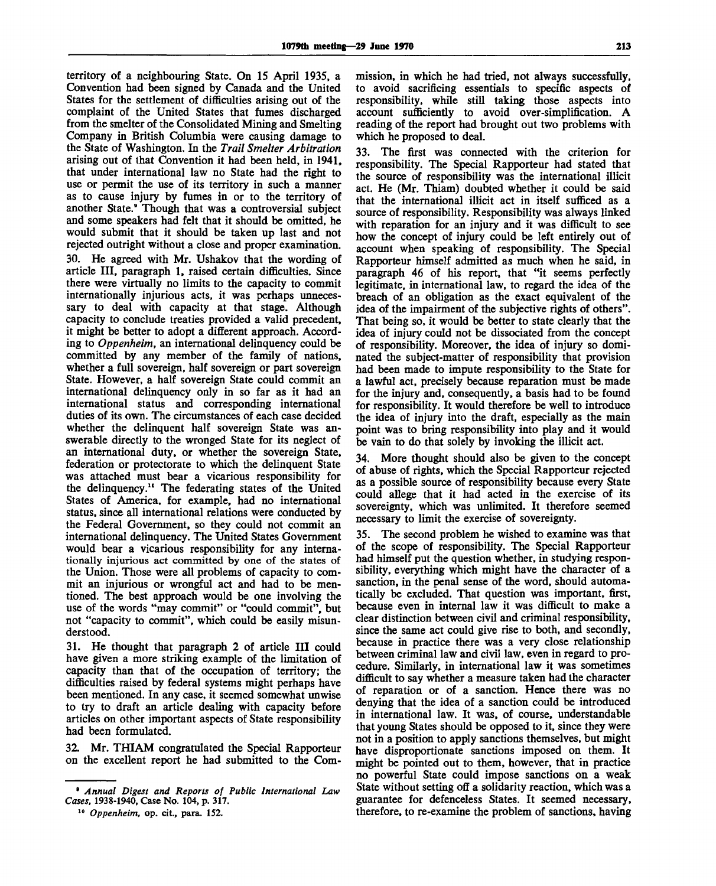territory of a neighbouring State. On 15 April 1935, a Convention had been signed by Canada and the United States for the settlement of difficulties arising out of the complaint of the United States that fumes discharged from the smelter of the Consolidated Mining and Smelting Company in British Columbia were causing damage to the State of Washington. In the *Trail Smelter Arbitration* arising out of that Convention it had been held, in 1941, that under international law no State had the right to use or permit the use of its territory in such a manner as to cause injury by fumes in or to the territory of another State.' Though that was a controversial subject and some speakers had felt that it should be omitted, he would submit that it should be taken up last and not rejected outright without a close and proper examination.

30. He agreed with Mr. Ushakov that the wording of article III, paragraph 1, raised certain difficulties. Since there were virtually no limits to the capacity to commit internationally injurious acts, it was perhaps unnecessary to deal with capacity at that stage. Although capacity to conclude treaties provided a valid precedent, it might be better to adopt a different approach. According to *Oppenheim,* an international delinquency could be committed by any member of the family of nations, whether a full sovereign, half sovereign or part sovereign State. However, a half sovereign State could commit an international delinquency only in so far as it had an international status and corresponding international duties of its own. The circumstances of each case decided whether the delinquent half sovereign State was answerable directly to the wronged State for its neglect of an international duty, or whether the sovereign State, federation or protectorate to which the delinquent State was attached must bear a vicarious responsibility for the delinquency.<sup>10</sup> The federating states of the United States of America, for example, had no international status, since all international relations were conducted by the Federal Government, so they could not commit an international delinquency. The United States Government would bear a vicarious responsibility for any internationally injurious act committed by one of the states of the Union. Those were all problems of capacity to commit an injurious or wrongful act and had to be mentioned. The best approach would be one involving the use of the words "may commit" or "could commit", but not "capacity to commit", which could be easily misunderstood.

31. He thought that paragraph 2 of article III could have given a more striking example of the limitation of capacity than that of the occupation of territory; the difficulties raised by federal systems might perhaps have been mentioned. In any case, it seemed somewhat unwise to try to draft an article dealing with capacity before articles on other important aspects of State responsibility had been formulated.

32. Mr. THIAM congratulated the Special Rapporteur on the excellent report he had submitted to the Commission, in which he had tried, not always successfully, to avoid sacrificing essentials to specific aspects of responsibility, while still taking those aspects into account sufficiently to avoid over-simplification. A reading of the report had brought out two problems with which he proposed to deal.

33. The first was connected with the criterion for responsibility. The Special Rapporteur had stated that the source of responsibility was the international illicit act. He (Mr. Thiam) doubted whether it could be said that the international illicit act in itself sufficed as a source of responsibility. Responsibility was always linked with reparation for an injury and it was difficult to see how the concept of injury could be left entirely out of account when speaking of responsibility. The Special Rapporteur himself admitted as much when he said, in paragraph 46 of his report, that "it seems perfectly legitimate, in international law, to regard the idea of the breach of an obligation as the exact equivalent of the idea of the impairment of the subjective rights of others". That being so, it would be better to state clearly that the idea of injury could not be dissociated from the concept of responsibility. Moreover, the idea of injury so dominated the subject-matter of responsibility that provision had been made to impute responsibility to the State for a lawful act, precisely because reparation must be made for the injury and, consequently, a basis had to be found for responsibility. It would therefore be well to introduce the idea of injury into the draft, especially as the main point was to bring responsibility into play and it would be vain to do that solely by invoking the illicit act.

34. More thought should also be given to the concept of abuse of rights, which the Special Rapporteur rejected as a possible source of responsibility because every State could allege that it had acted in the exercise of its sovereignty, which was unlimited. It therefore seemed necessary to limit the exercise of sovereignty.

35. The second problem he wished to examine was that of the scope of responsibility. The Special Rapporteur had himself put the question whether, in studying responsibility, everything which might have the character of a sanction, in the penal sense of the word, should automatically be excluded. That question was important, first, because even in internal law it was difficult to make a clear distinction between civil and criminal responsibility, since the same act could give rise to both, and secondly, because in practice there was a very close relationship between criminal law and civil law, even in regard to procedure. Similarly, in international law it was sometimes difficult to say whether a measure taken had the character of reparation or of a sanction. Hence there was no denying that the idea of a sanction could be introduced in international law. It was, of course, understandable that young States should be opposed to it, since they were not in a position to apply sanctions themselves, but might have disproportionate sanctions imposed on them. It might be pointed out to them, however, that in practice no powerful State could impose sanctions on a weak State without setting off a solidarity reaction, which was a guarantee for defenceless States. It seemed necessary, therefore, to re-examine the problem of sanctions, having

<sup>9</sup>  *Annual Digest and Reports of Public International Law Cases,* 1938-1940, Case No. 104, p. 317.

<sup>10</sup>  *Oppenheim,* op. cit., para. 152.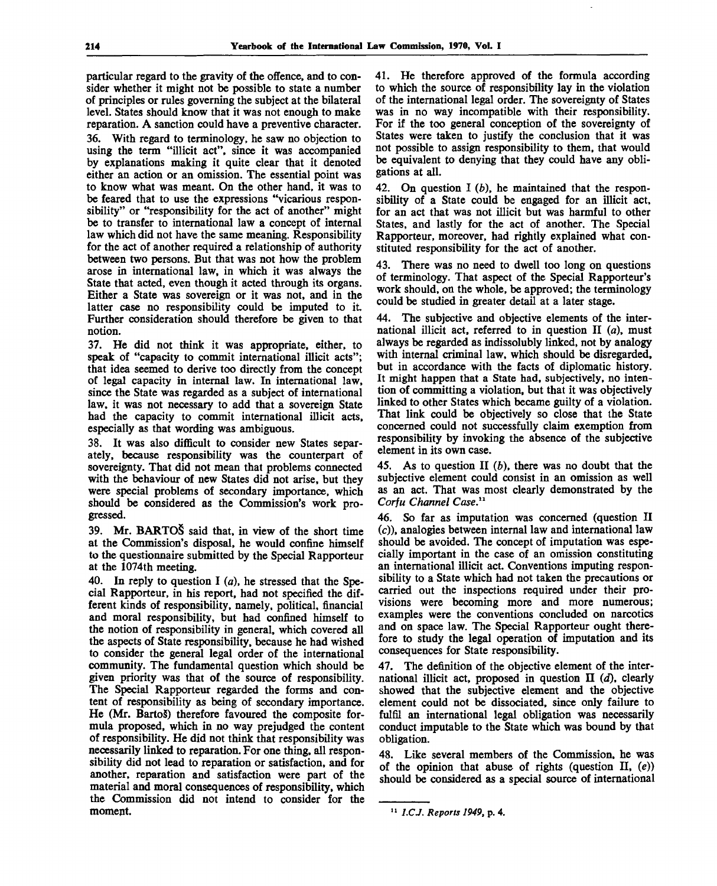particular regard to the gravity of the offence, and to consider whether it might not be possible to state a number of principles or rules governing the subject at the bilateral level. States should know that it was not enough to make reparation. A sanction could have a preventive character. 36. With regard to terminology, he saw no objection to using the term "illicit act", since it was accompanied by explanations making it quite clear that it denoted either an action or an omission. The essential point was to know what was meant. On the other hand, it was to be feared that to use the expressions "vicarious responsibility" or "responsibility for the act of another" might be to transfer to international law a concept of internal law which did not have the same meaning. Responsibility for the act of another required a relationship of authority between two persons. But that was not how the problem arose in international law, in which it was always the State that acted, even though it acted through its organs. Either a State was sovereign or it was not, and in the latter case no responsibility could be imputed to it Further consideration should therefore be given to that notion.

37. He did not think it was appropriate, either, to speak of "capacity to commit international illicit acts"; that idea seemed to derive too directly from the concept of legal capacity in internal law. In international law, since the State was regarded as a subject of international law, it was not necessary to add that a sovereign State had the capacity to commit international illicit acts, especially as that wording was ambiguous.

38. It was also difficult to consider new States separately, because responsibility was the counterpart of sovereignty. That did not mean that problems connected with the behaviour of new States did not arise, but they were special problems of secondary importance, which should be considered as the Commission's work progressed.

39. Mr. BARTOS said that, in view of the short time at the Commission's disposal, he would confine himself to the questionnaire submitted by the Special Rapporteur at the 1074th meeting.

40. In reply to question I *(a),* he stressed that the Special Rapporteur, in his report, had not specified the different kinds of responsibility, namely, political, financial and moral responsibility, but had confined himself to the notion of responsibility in general, which covered all the aspects of State responsibility, because he had wished to consider the general legal order of the international community. The fundamental question which should be given priority was that of the source of responsibility. The Special Rapporteur regarded the forms and content of responsibility as being of secondary importance. He (Mr. Barto§) therefore favoured the composite formula proposed, which in no way prejudged the content of responsibility. He did not think that responsibility was necessarily linked to reparation. For one thing, all responsibility did not lead to reparation or satisfaction, and for another, reparation and satisfaction were part of the material and moral consequences of responsibility, which the Commission did not intend to consider for the moment.

41. He therefore approved of the formula according to which the source of responsibility lay in the violation of the international legal order. The sovereignty of States was in no way incompatible with their responsibility. For if the too general conception of the sovereignty of States were taken to justify the conclusion that it was not possible to assign responsibility to them, that would be equivalent to denying that they could have any obligations at all.

42. On question I *(b),* he maintained that the responsibility of a State could be engaged for an illicit act, for an act that was not illicit but was harmful to other States, and lastly for the act of another. The Special Rapporteur, moreover, had rightly explained what constituted responsibility for the act of another.

43. There was no need to dwell too long on questions of terminology. That aspect of the Special Rapporteur's work should, on the whole, be approved; the terminology could be studied in greater detail at a later stage.

44. The subjective and objective elements of the international illicit act, referred to in question II *(a),* must always be regarded as indissolubly linked, not by analogy with internal criminal law, which should be disregarded, but in accordance with the facts of diplomatic history. It might happen that a State had, subjectively, no intention of committing a violation, but that it was objectively linked to other States which became guilty of a violation. That link could be objectively so close that the State concerned could not successfully claim exemption from responsibility by invoking the absence of the subjective element in its own case.

45. As to question II *(b),* there was no doubt that the subjective element could consist in an omission as well as an act. That was most clearly demonstrated by the *Corfu Channel Case.<sup>11</sup>*

46. So far as imputation was concerned (question II (c)), analogies between internal law and international law should be avoided. The concept of imputation was especially important in the case of an omission constituting an international illicit act. Conventions imputing responsibility to a State which had not taken the precautions or carried out the inspections required under their provisions were becoming more and more numerous; examples were the conventions concluded on narcotics and on space law. The Special Rapporteur ought therefore to study the legal operation of imputation and its consequences for State responsibility.

47. The definition of the objective element of the international illicit act, proposed in question II *(d),* clearly showed that the subjective element and the objective element could not be dissociated, since only failure to fulfil an international legal obligation was necessarily conduct imputable to the State which was bound by that obligation.

48. Like several members of the Commission, he was of the opinion that abuse of rights (question  $II$ ,  $(e)$ ) should be considered as a special source of international

*l.CJ. Reports 1949,* **p. 4.**